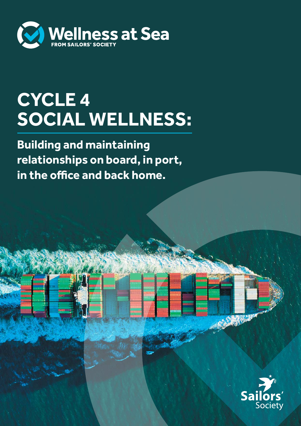

## **CYCLE 4 SOCIAL WELLNESS:**

**Building and maintaining relationships on board, in port, in the office and back home.**

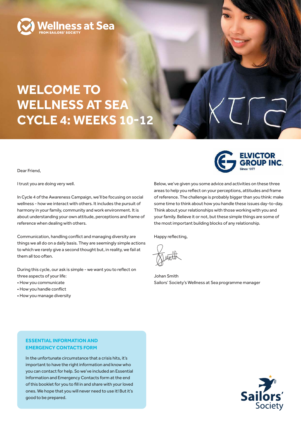

### **WELCOME TO WELLNESS AT SEA CYCLE 4: WEEKS 10-12**

Dear Friend,

I trust you are doing very well.

In Cycle 4 of the Awareness Campaign, we'll be focusing on social wellness - how we interact with others. It includes the pursuit of harmony in your family, community and work environment. It is about understanding your own attitude, perceptions and frame of reference when dealing with others.

Communication, handling conflict and managing diversity are things we all do on a daily basis. They are seemingly simple actions to which we rarely give a second thought but, in reality, we fail at them all too often.

During this cycle, our ask is simple - we want you to reflect on three aspects of your life:

- How you communicate
- How you handle conflict
- How you manage diversity

**ELVICTOR<br>GROUP INC.** 

Below, we've given you some advice and activities on these three areas to help you reflect on your perceptions, attitudes and frame of reference. The challenge is probably bigger than you think: make some time to think about how you handle these issues day-to-day. Think about your relationships with those working with you and your family. Believe it or not, but these simple things are some of the most important building blocks of any relationship.

Happy reflecting,

Johan Smith Sailors' Society's Wellness at Sea programme manager

#### **ESSENTIAL INFORMATION AND EMERGENCY CONTACTS FORM**

In the unfortunate circumstance that a crisis hits, it's important to have the right information and know who you can contact for help. So we've included an Essential Information and Emergency Contacts form at the end of this booklet for you to fill in and share with your loved ones. We hope that you will never need to use it! But it's good to be prepared.

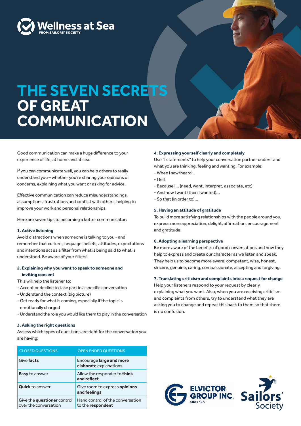

### **THE SEVEN SECRETS OF GREAT COMMUNICATION**

Good communication can make a huge difference to your experience of life, at home and at sea.

If you can communicate well, you can help others to really understand you – whether you're sharing your opinions or concerns, explaining what you want or asking for advice.

Effective communication can reduce misunderstandings, assumptions, frustrations and conflict with others, helping to improve your work and personal relationships.

Here are seven tips to becoming a better communicator:

#### **1. Active listening**

Avoid distractions when someone is talking to you - and remember that culture, language, beliefs, attitudes, expectations and intentions act as a filter from what is being said to what is understood. Be aware of your filters!

#### **2. Explaining why you want to speak to someone and inviting consent**

This will help the listener to:

- Accept or decline to take part in a specific conversation
- Understand the context (big picture)
- Get ready for what is coming, especially if the topic is emotionally charged
- Understand the role you would like them to play in the conversation

#### **3. Asking the right questions**

Assess which types of questions are right for the conversation you are having:

| <b>CLOSED QUESTIONS</b>                              | <b>OPEN ENDED QUESTIONS</b>                           |
|------------------------------------------------------|-------------------------------------------------------|
| Give facts                                           | Encourage large and more<br>elaborate explanations    |
| <b>Easy</b> to answer                                | Allow the responder to think<br>and reflect           |
| <b>Quick</b> to answer                               | Give room to express opinions<br>and feelings         |
| Give the questioner control<br>over the conversation | Hand control of the conversation<br>to the respondent |

#### **4. Expressing yourself clearly and completely**

Use "I statements" to help your conversation partner understand what you are thinking, feeling and wanting. For example:

- When I saw/heard…
- I felt
- Because I… (need, want, interpret, associate, etc)
- And now I want (then I wanted)…
- So that (in order to)…

#### **5. Having an attitude of gratitude**

To build more satisfying relationships with the people around you, express more appreciation, delight, affirmation, encouragement and gratitude.

#### **6. Adopting a learning perspective**

Be more aware of the benefits of good conversations and how they help to express and create our character as we listen and speak. They help us to become more aware, competent, wise, honest, sincere, genuine, caring, compassionate, accepting and forgiving.

#### **7. Translating criticism and complaints into a request for change**

Help your listeners respond to your request by clearly explaining what you want. Also, when you are receiving criticism and complaints from others, try to understand what they are asking you to change and repeat this back to them so that there is no confusion.



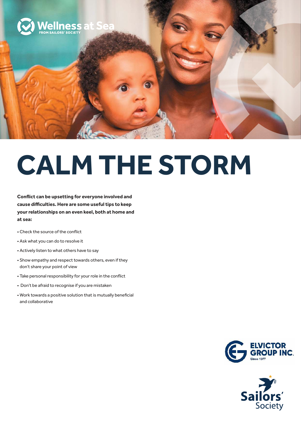

# **CALM THE STORM**

**Conflict can be upsetting for everyone involved and cause difficulties. Here are some useful tips to keep your relationships on an even keel, both at home and at sea:**

- Check the source of the conflict
- Ask what you can do to resolve it
- Actively listen to what others have to say
- Show empathy and respect towards others, even if they don't share your point of view
- Take personal responsibility for your role in the conflict
- Don't be afraid to recognise if you are mistaken
- Work towards a positive solution that is mutually beneficial and collaborative



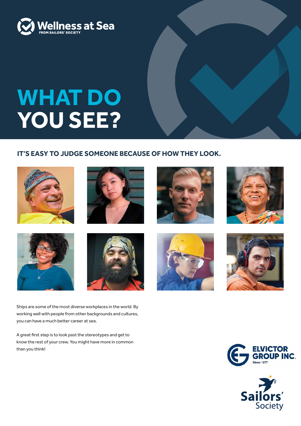

## **WHAT DO YOU SEE?**

#### **IT'S EASY TO JUDGE SOMEONE BECAUSE OF HOW THEY LOOK.**













Ships are some of the most diverse workplaces in the world. By working well with people from other backgrounds and cultures, you can have a much better career at sea.

A great first step is to look past the stereotypes and get to know the rest of your crew. You might have more in common than you think!







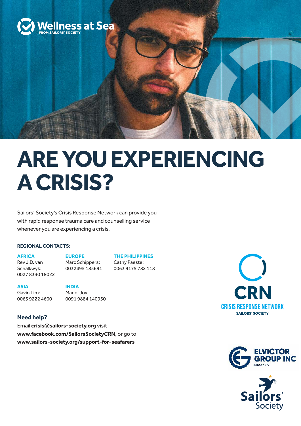

## **ARE YOU EXPERIENCING A CRISIS?**

Sailors' Society's Crisis Response Network can provide you with rapid response trauma care and counselling service whenever you are experiencing a crisis.

#### **REGIONAL CONTACTS:**

**AFRICA** 

**EUROPE** 

Rev J.D. van Schalkwyk: 0027 8330 18022 Marc Schippers: 0032495 185691 **THE PHILIPPINES** Cathy Paeste: 0063 9175 782 118

**ASIA**

Gavin Lim: 0065 9222 4600 **INDIA** Manoj Joy: 0091 9884 140950

#### **Need help?**

Email **crisis@sailors-society.org** visit **www.facebook.com/SailorsSocietyCRN**, or go to **www.sailors-society.org/support-for-seafarers**





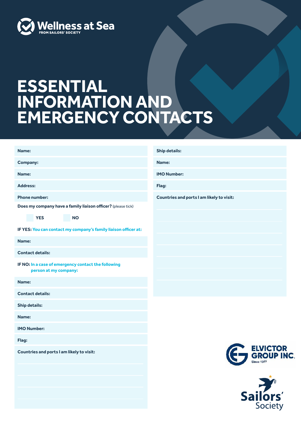

### **ESSENTIAL INFORMATION AND EMERGENCY CONTACTS**

| Name:                                                                                   | <b>Ship details:</b>                      |
|-----------------------------------------------------------------------------------------|-------------------------------------------|
| <b>Company:</b>                                                                         | Name:                                     |
| Name:                                                                                   | <b>IMO Number:</b>                        |
| <b>Address:</b>                                                                         | Flag:                                     |
| <b>Phone number:</b>                                                                    | Countries and ports I am likely to visit: |
| Does my company have a family liaison officer? (please tick)<br><b>YES</b><br><b>NO</b> |                                           |
| IF YES: You can contact my company's family liaison officer at:                         |                                           |
| Name:                                                                                   |                                           |
| <b>Contact details:</b>                                                                 |                                           |
| IF NO: In a case of emergency contact the following<br>person at my company:            |                                           |
| Name:                                                                                   |                                           |
| <b>Contact details:</b>                                                                 |                                           |
| <b>Ship details:</b>                                                                    |                                           |
| Name:                                                                                   |                                           |
| <b>IMO Number:</b>                                                                      |                                           |
| Flag:                                                                                   |                                           |
| Countries and ports I am likely to visit:                                               | ELVICTOR<br>GROUP ING                     |
|                                                                                         | Sailors'                                  |
|                                                                                         |                                           |